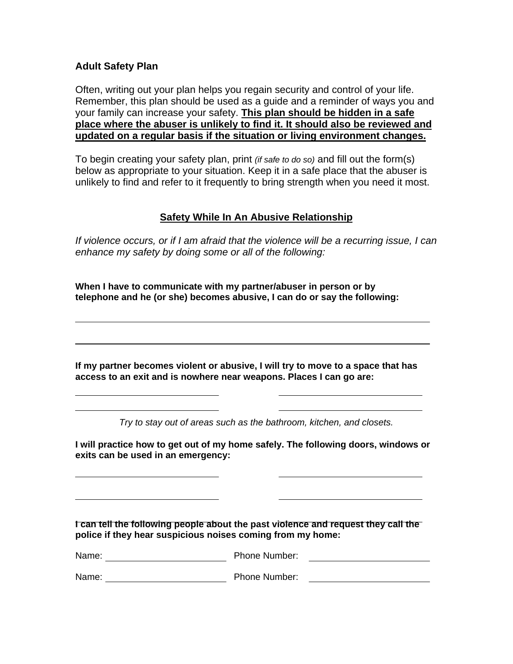### **Adult Safety Plan**

l

Ī

Often, writing out your plan helps you regain security and control of your life. Remember, this plan should be used as a guide and a reminder of ways you and your family can increase your safety. **This plan should be hidden in a safe place where the abuser is unlikely to find it. It should also be reviewed and updated on a regular basis if the situation or living environment changes.**

To begin creating your safety plan, print *(if safe to do so)* and fill out the form(s) below as appropriate to your situation. Keep it in a safe place that the abuser is unlikely to find and refer to it frequently to bring strength when you need it most.

# **Safety While In An Abusive Relationship**

*If violence occurs, or if I am afraid that the violence will be a recurring issue, I can enhance my safety by doing some or all of the following:* 

**When I have to communicate with my partner/abuser in person or by telephone and he (or she) becomes abusive, I can do or say the following:** 

**If my partner becomes violent or abusive, I will try to move to a space that has access to an exit and is nowhere near weapons. Places I can go are:** 

*Try to stay out of areas such as the bathroom, kitchen, and closets.* 

**I will practice how to get out of my home safely. The following doors, windows or exits can be used in an emergency:** 

**I can tell the following people about the past violence and request they call the police if they hear suspicious noises coming from my home:** 

Name: Name: Phone Number:

Name: Name: Name: Phone Number: 2008. Example 2014 12: 2014 12: 2014 12: 2014 12: 2014 12: 2014 12: 2014 12: 2014 12: 2014 12: 2014 12: 2014 12: 2014 12: 2014 12: 2014 12: 2014 12: 2014 12: 2014 12: 2014 12: 2014 12: 2014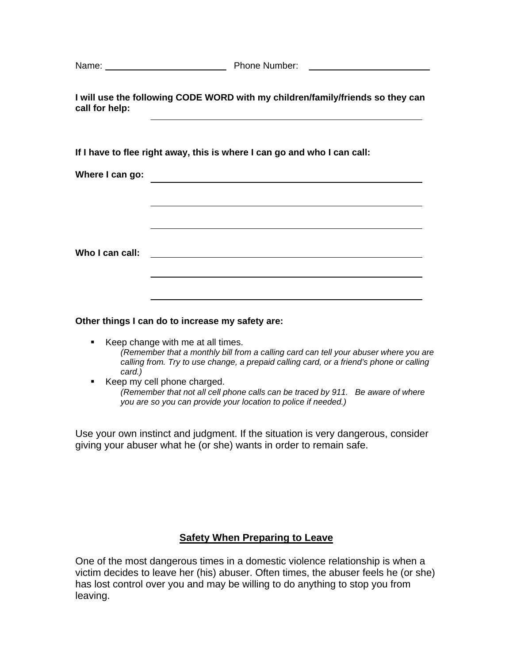| Name: | <b>Phone Number:</b> |
|-------|----------------------|
|-------|----------------------|

**I will use the following CODE WORD with my children/family/friends so they can call for help:** 

**If I have to flee right away, this is where I can go and who I can call:** 

**Where I can go:** 

**Who I can call:** 

**Other things I can do to increase my safety are:** 

- Keep change with me at all times. *(Remember that a monthly bill from a calling card can tell your abuser where you are calling from. Try to use change, a prepaid calling card, or a friend's phone or calling card.)*
- Keep my cell phone charged. *(Remember that not all cell phone calls can be traced by 911. Be aware of where you are so you can provide your location to police if needed.)*

Use your own instinct and judgment. If the situation is very dangerous, consider giving your abuser what he (or she) wants in order to remain safe.

## **Safety When Preparing to Leave**

One of the most dangerous times in a domestic violence relationship is when a victim decides to leave her (his) abuser. Often times, the abuser feels he (or she) has lost control over you and may be willing to do anything to stop you from leaving.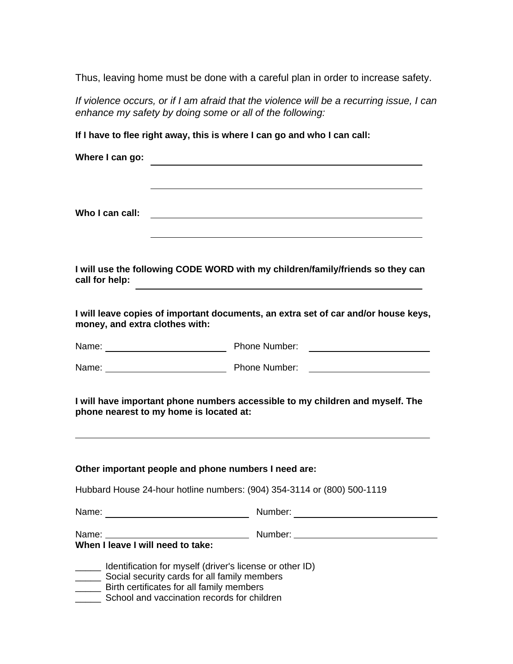Thus, leaving home must be done with a careful plan in order to increase safety.

*If violence occurs, or if I am afraid that the violence will be a recurring issue, I can enhance my safety by doing some or all of the following:*

**If I have to flee right away, this is where I can go and who I can call:** 

| Where I can go:                                                                                                                                                                                                          |               |  |
|--------------------------------------------------------------------------------------------------------------------------------------------------------------------------------------------------------------------------|---------------|--|
| Who I can call:                                                                                                                                                                                                          |               |  |
| I will use the following CODE WORD with my children/family/friends so they can<br>call for help:<br><u> 1989 - Johann Barbara, martxa alemaniar argametar a contra a contra a contra a contra a contra a contra a co</u> |               |  |
| I will leave copies of important documents, an extra set of car and/or house keys,<br>money, and extra clothes with:                                                                                                     |               |  |
|                                                                                                                                                                                                                          | Phone Number: |  |
| Name: Name: Name: Name: Name: Number: Name: Number: Name: Number: Name: Number: N                                                                                                                                        |               |  |
| I will have important phone numbers accessible to my children and myself. The<br>phone nearest to my home is located at:                                                                                                 |               |  |
| Other important people and phone numbers I need are:                                                                                                                                                                     |               |  |
| Hubbard House 24-hour hotline numbers: (904) 354-3114 or (800) 500-1119                                                                                                                                                  |               |  |
| Name:                                                                                                                                                                                                                    | Number:       |  |
| Name: Name<br>When I leave I will need to take:                                                                                                                                                                          |               |  |
| Identification for myself (driver's license or other ID)<br>Social security cards for all family members<br>Birth certificates for all family members<br>School and vaccination records for children                     |               |  |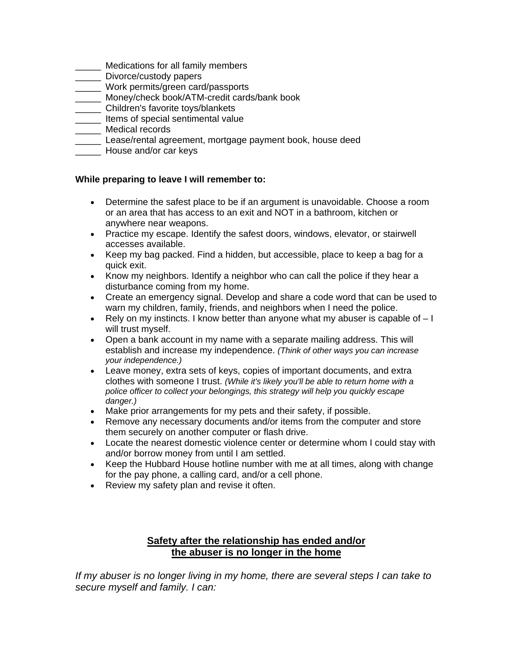- \_\_\_\_\_ Medications for all family members
- **Late** Divorce/custody papers
- \_\_\_\_\_ Work permits/green card/passports
- \_\_\_\_\_ Money/check book/ATM-credit cards/bank book
- \_\_\_\_\_ Children's favorite toys/blankets
- \_\_\_\_\_ Items of special sentimental value
- \_\_\_\_\_ Medical records
- Lease/rental agreement, mortgage payment book, house deed
- **Example 20** House and/or car keys

### **While preparing to leave I will remember to:**

- Determine the safest place to be if an argument is unavoidable. Choose a room or an area that has access to an exit and NOT in a bathroom, kitchen or anywhere near weapons.
- Practice my escape. Identify the safest doors, windows, elevator, or stairwell accesses available.
- Keep my bag packed. Find a hidden, but accessible, place to keep a bag for a quick exit.
- Know my neighbors. Identify a neighbor who can call the police if they hear a disturbance coming from my home.
- Create an emergency signal. Develop and share a code word that can be used to warn my children, family, friends, and neighbors when I need the police.
- Rely on my instincts. I know better than anyone what my abuser is capable of  $-1$ will trust myself.
- Open a bank account in my name with a separate mailing address. This will establish and increase my independence. *(Think of other ways you can increase your independence.)*
- Leave money, extra sets of keys, copies of important documents, and extra clothes with someone I trust. *(While it's likely you'll be able to return home with a police officer to collect your belongings, this strategy will help you quickly escape danger.)*
- Make prior arrangements for my pets and their safety, if possible.
- Remove any necessary documents and/or items from the computer and store them securely on another computer or flash drive.
- Locate the nearest domestic violence center or determine whom I could stay with and/or borrow money from until I am settled.
- Keep the Hubbard House hotline number with me at all times, along with change for the pay phone, a calling card, and/or a cell phone.
- Review my safety plan and revise it often.

## **Safety after the relationship has ended and/or the abuser is no longer in the home**

*If my abuser is no longer living in my home, there are several steps I can take to secure myself and family. I can:*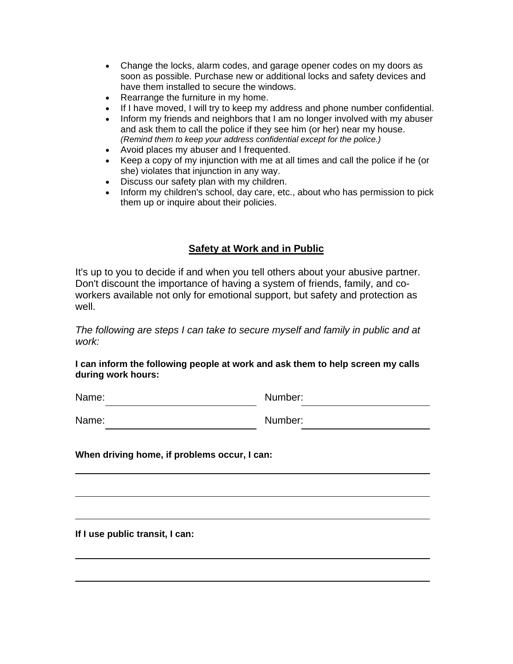- Change the locks, alarm codes, and garage opener codes on my doors as soon as possible. Purchase new or additional locks and safety devices and have them installed to secure the windows.
- Rearrange the furniture in my home.
- If I have moved, I will try to keep my address and phone number confidential.
- Inform my friends and neighbors that I am no longer involved with my abuser and ask them to call the police if they see him (or her) near my house. *(Remind them to keep your address confidential except for the police.)*
- Avoid places my abuser and I frequented.
- Keep a copy of my injunction with me at all times and call the police if he (or she) violates that injunction in any way.
- Discuss our safety plan with my children.<br>• Inform my children's school, day care, etc.
- Inform my children's school, day care, etc., about who has permission to pick them up or inquire about their policies.

# **Safety at Work and in Public**

It's up to you to decide if and when you tell others about your abusive partner. Don't discount the importance of having a system of friends, family, and coworkers available not only for emotional support, but safety and protection as well.

*The following are steps I can take to secure myself and family in public and at work:* 

### **I can inform the following people at work and ask them to help screen my calls during work hours:**

Name: Number:

Name: Number:

**When driving home, if problems occur, I can:** 

**If I use public transit, I can:**